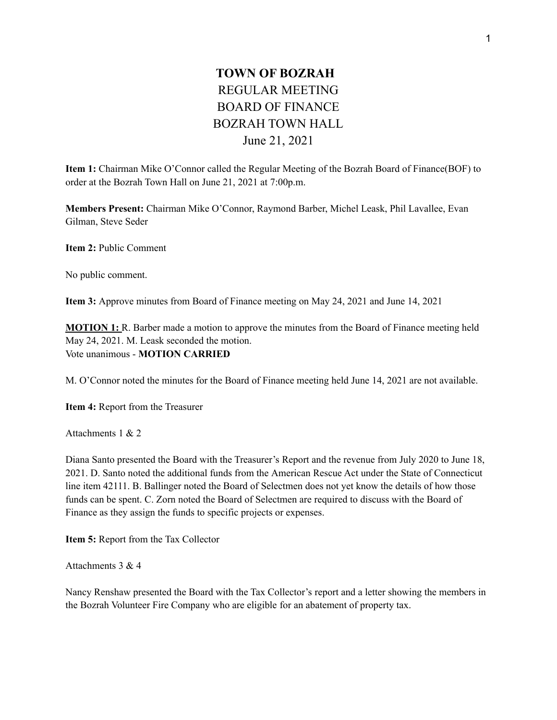## **TOWN OF BOZRAH** REGULAR MEETING BOARD OF FINANCE BOZRAH TOWN HALL June 21, 2021

**Item 1:** Chairman Mike O'Connor called the Regular Meeting of the Bozrah Board of Finance(BOF) to order at the Bozrah Town Hall on June 21, 2021 at 7:00p.m.

**Members Present:** Chairman Mike O'Connor, Raymond Barber, Michel Leask, Phil Lavallee, Evan Gilman, Steve Seder

**Item 2:** Public Comment

No public comment.

**Item 3:** Approve minutes from Board of Finance meeting on May 24, 2021 and June 14, 2021

**MOTION 1:** R. Barber made a motion to approve the minutes from the Board of Finance meeting held May 24, 2021. M. Leask seconded the motion. Vote unanimous - **MOTION CARRIED**

M. O'Connor noted the minutes for the Board of Finance meeting held June 14, 2021 are not available.

**Item 4:** Report from the Treasurer

Attachments 1 & 2

Diana Santo presented the Board with the Treasurer's Report and the revenue from July 2020 to June 18, 2021. D. Santo noted the additional funds from the American Rescue Act under the State of Connecticut line item 42111. B. Ballinger noted the Board of Selectmen does not yet know the details of how those funds can be spent. C. Zorn noted the Board of Selectmen are required to discuss with the Board of Finance as they assign the funds to specific projects or expenses.

**Item 5:** Report from the Tax Collector

Attachments 3 & 4

Nancy Renshaw presented the Board with the Tax Collector's report and a letter showing the members in the Bozrah Volunteer Fire Company who are eligible for an abatement of property tax.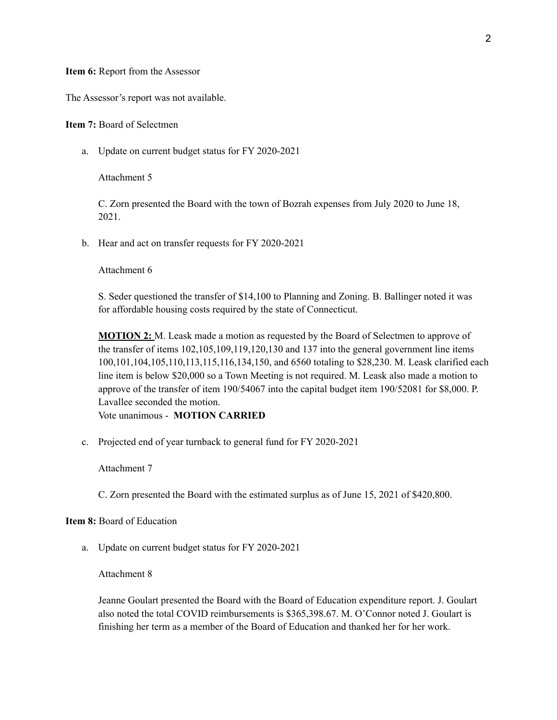## **Item 6:** Report from the Assessor

The Assessor's report was not available.

**Item 7:** Board of Selectmen

a. Update on current budget status for FY 2020-2021

Attachment 5

C. Zorn presented the Board with the town of Bozrah expenses from July 2020 to June 18, 2021.

b. Hear and act on transfer requests for FY 2020-2021

Attachment 6

S. Seder questioned the transfer of \$14,100 to Planning and Zoning. B. Ballinger noted it was for affordable housing costs required by the state of Connecticut.

**MOTION 2:** M. Leask made a motion as requested by the Board of Selectmen to approve of the transfer of items 102,105,109,119,120,130 and 137 into the general government line items 100,101,104,105,110,113,115,116,134,150, and 6560 totaling to \$28,230. M. Leask clarified each line item is below \$20,000 so a Town Meeting is not required. M. Leask also made a motion to approve of the transfer of item 190/54067 into the capital budget item 190/52081 for \$8,000. P. Lavallee seconded the motion. Vote unanimous - **MOTION CARRIED**

c. Projected end of year turnback to general fund for FY 2020-2021

Attachment 7

C. Zorn presented the Board with the estimated surplus as of June 15, 2021 of \$420,800.

## **Item 8:** Board of Education

a. Update on current budget status for FY 2020-2021

Attachment 8

Jeanne Goulart presented the Board with the Board of Education expenditure report. J. Goulart also noted the total COVID reimbursements is \$365,398.67. M. O'Connor noted J. Goulart is finishing her term as a member of the Board of Education and thanked her for her work.